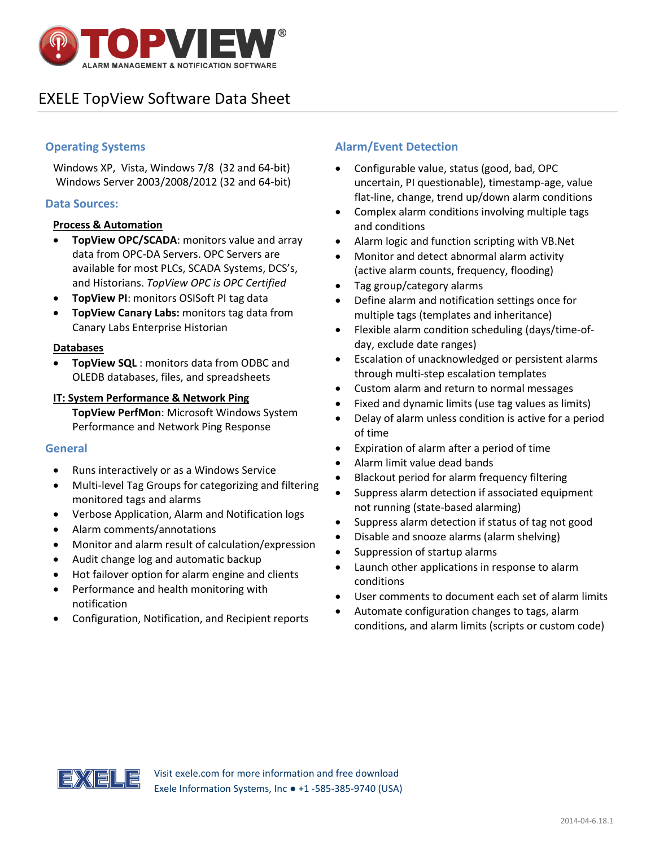

# EXELE TopView Software Data Sheet

# **Operating Systems**

Windows XP, Vista, Windows 7/8 (32 and 64-bit) Windows Server 2003/2008/2012 (32 and 64-bit)

## **Data Sources:**

#### **Process & Automation**

- **TopView OPC/SCADA**: monitors value and array data from OPC-DA Servers. OPC Servers are available for most PLCs, SCADA Systems, DCS's, and Historians. *TopView OPC is OPC Certified*
- **TopView PI**: monitors OSISoft PI tag data
- **TopView Canary Labs:** monitors tag data from Canary Labs Enterprise Historian

#### **Databases**

 **TopView SQL** : monitors data from ODBC and OLEDB databases, files, and spreadsheets

#### **IT: System Performance & Network Ping**

**TopView PerfMon**: Microsoft Windows System Performance and Network Ping Response

#### **General**

- Runs interactively or as a Windows Service
- Multi-level Tag Groups for categorizing and filtering monitored tags and alarms
- Verbose Application, Alarm and Notification logs
- Alarm comments/annotations
- Monitor and alarm result of calculation/expression
- Audit change log and automatic backup
- Hot failover option for alarm engine and clients
- Performance and health monitoring with notification
- Configuration, Notification, and Recipient reports

# **Alarm/Event Detection**

- Configurable value, status (good, bad, OPC uncertain, PI questionable), timestamp-age, value flat-line, change, trend up/down alarm conditions
- Complex alarm conditions involving multiple tags and conditions
- Alarm logic and function scripting with VB.Net
- Monitor and detect abnormal alarm activity (active alarm counts, frequency, flooding)
- Tag group/category alarms
- Define alarm and notification settings once for multiple tags (templates and inheritance)
- Flexible alarm condition scheduling (days/time-ofday, exclude date ranges)
- Escalation of unacknowledged or persistent alarms through multi-step escalation templates
- Custom alarm and return to normal messages
- Fixed and dynamic limits (use tag values as limits)
- Delay of alarm unless condition is active for a period of time
- Expiration of alarm after a period of time
- Alarm limit value dead bands
- Blackout period for alarm frequency filtering
- Suppress alarm detection if associated equipment not running (state-based alarming)
- Suppress alarm detection if status of tag not good
- Disable and snooze alarms (alarm shelving)
- Suppression of startup alarms
- Launch other applications in response to alarm conditions
- User comments to document each set of alarm limits
- Automate configuration changes to tags, alarm conditions, and alarm limits (scripts or custom code)

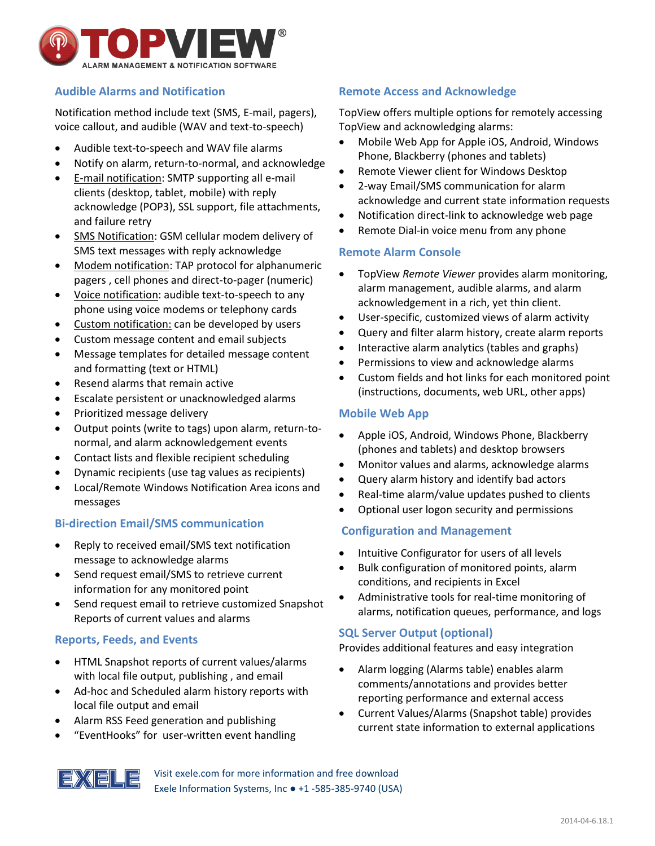

# **Audible Alarms and Notification**

Notification method include text (SMS, E-mail, pagers), voice callout, and audible (WAV and text-to-speech)

- Audible text-to-speech and WAV file alarms
- Notify on alarm, return-to-normal, and acknowledge
- E-mail notification: SMTP supporting all e-mail clients (desktop, tablet, mobile) with reply acknowledge (POP3), SSL support, file attachments, and failure retry
- SMS Notification: GSM cellular modem delivery of SMS text messages with reply acknowledge
- Modem notification: TAP protocol for alphanumeric pagers , cell phones and direct-to-pager (numeric)
- Voice notification: audible text-to-speech to any phone using voice modems or telephony cards
- Custom notification: can be developed by users
- Custom message content and email subjects
- Message templates for detailed message content and formatting (text or HTML)
- Resend alarms that remain active
- Escalate persistent or unacknowledged alarms
- Prioritized message delivery
- Output points (write to tags) upon alarm, return-tonormal, and alarm acknowledgement events
- Contact lists and flexible recipient scheduling
- Dynamic recipients (use tag values as recipients)
- Local/Remote Windows Notification Area icons and messages

## **Bi-direction Email/SMS communication**

- Reply to received email/SMS text notification message to acknowledge alarms
- Send request email/SMS to retrieve current information for any monitored point
- Send request email to retrieve customized Snapshot Reports of current values and alarms

## **Reports, Feeds, and Events**

- HTML Snapshot reports of current values/alarms with local file output, publishing , and email
- Ad-hoc and Scheduled alarm history reports with local file output and email
- Alarm RSS Feed generation and publishing
- "EventHooks" for user-written event handling

# **Remote Access and Acknowledge**

TopView offers multiple options for remotely accessing TopView and acknowledging alarms:

- Mobile Web App for Apple iOS, Android, Windows Phone, Blackberry (phones and tablets)
- Remote Viewer client for Windows Desktop
- 2-way Email/SMS communication for alarm acknowledge and current state information requests
- Notification direct-link to acknowledge web page
- Remote Dial-in voice menu from any phone

## **Remote Alarm Console**

- TopView *Remote Viewer* provides alarm monitoring, alarm management, audible alarms, and alarm acknowledgement in a rich, yet thin client.
- User-specific, customized views of alarm activity
- Query and filter alarm history, create alarm reports
- Interactive alarm analytics (tables and graphs)
- Permissions to view and acknowledge alarms
- Custom fields and hot links for each monitored point (instructions, documents, web URL, other apps)

## **Mobile Web App**

- Apple iOS, Android, Windows Phone, Blackberry (phones and tablets) and desktop browsers
- Monitor values and alarms, acknowledge alarms
- Query alarm history and identify bad actors
- Real-time alarm/value updates pushed to clients
- Optional user logon security and permissions

## **Configuration and Management**

- Intuitive Configurator for users of all levels
- Bulk configuration of monitored points, alarm conditions, and recipients in Excel
- Administrative tools for real-time monitoring of alarms, notification queues, performance, and logs

## **SQL Server Output (optional)**

Provides additional features and easy integration

- Alarm logging (Alarms table) enables alarm comments/annotations and provides better reporting performance and external access
- Current Values/Alarms (Snapshot table) provides current state information to external applications



Visit exele.com for more information and free download Exele Information Systems, Inc ● +1 -585-385-9740 (USA)